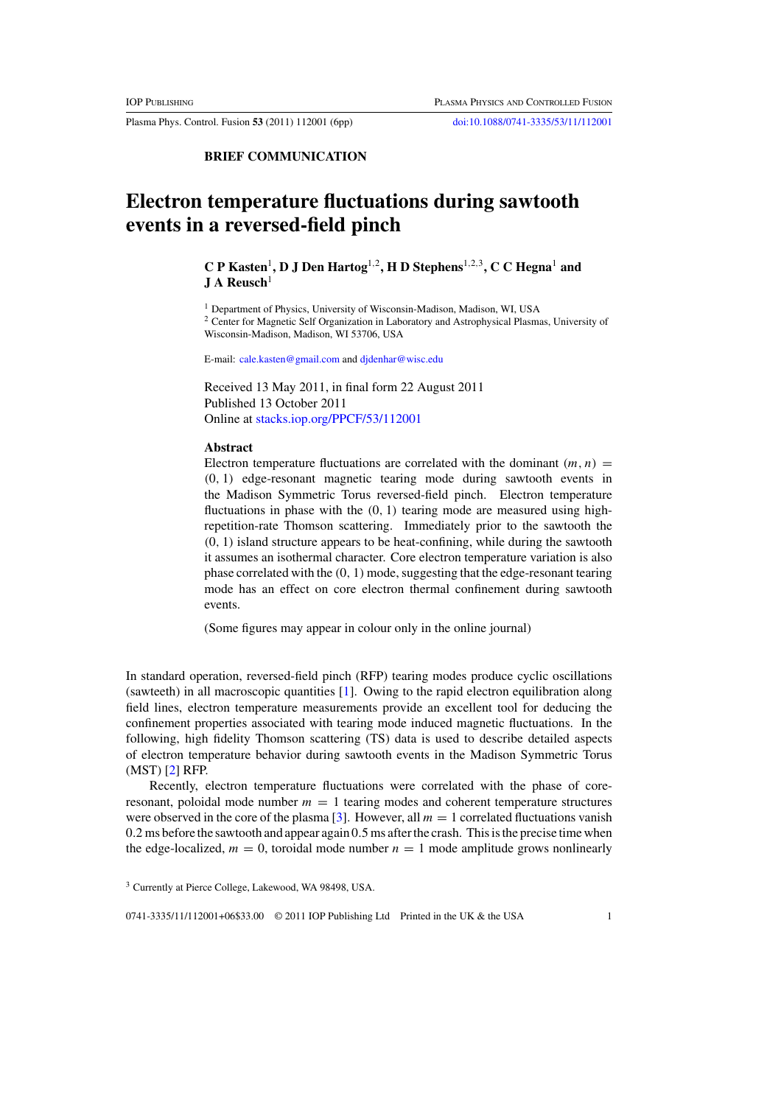Plasma Phys. Control. Fusion **53** (2011) 112001 (6pp) [doi:10.1088/0741-3335/53/11/112001](http://dx.doi.org/10.1088/0741-3335/53/11/112001)

#### **BRIEF COMMUNICATION**

# **Electron temperature fluctuations during sawtooth events in a reversed-field pinch**

## **C P Kasten**1**, D J Den Hartog**1*,*2**, H D Stephens**1*,*2*,*3**, C C Hegna**<sup>1</sup> **and J A Reusch**<sup>1</sup>

<sup>1</sup> Department of Physics, University of Wisconsin-Madison, Madison, WI, USA <sup>2</sup> Center for Magnetic Self Organization in Laboratory and Astrophysical Plasmas, University of Wisconsin-Madison, Madison, WI 53706, USA

E-mail: [cale.kasten@gmail.com](mailto: cale.kasten@gmail.com) and [djdenhar@wisc.edu](mailto: djdenhar@wisc.edu)

Received 13 May 2011, in final form 22 August 2011 Published 13 October 2011 Online at [stacks.iop.org/PPCF/53/112001](http://stacks.iop.org/PPCF/53/112001)

### **Abstract**

Electron temperature fluctuations are correlated with the dominant  $(m, n)$  = *(*0*,* 1*)* edge-resonant magnetic tearing mode during sawtooth events in the Madison Symmetric Torus reversed-field pinch. Electron temperature fluctuations in phase with the *(*0*,* 1*)* tearing mode are measured using highrepetition-rate Thomson scattering. Immediately prior to the sawtooth the *(*0*,* 1*)* island structure appears to be heat-confining, while during the sawtooth it assumes an isothermal character. Core electron temperature variation is also phase correlated with the *(*0*,* 1*)* mode, suggesting that the edge-resonant tearing mode has an effect on core electron thermal confinement during sawtooth events.

(Some figures may appear in colour only in the online journal)

In standard operation, reversed-field pinch (RFP) tearing modes produce cyclic oscillations (sawteeth) in all macroscopic quantities [\[1\]](#page-5-0). Owing to the rapid electron equilibration along field lines, electron temperature measurements provide an excellent tool for deducing the confinement properties associated with tearing mode induced magnetic fluctuations. In the following, high fidelity Thomson scattering (TS) data is used to describe detailed aspects of electron temperature behavior during sawtooth events in the Madison Symmetric Torus (MST) [\[2\]](#page-5-0) RFP.

Recently, electron temperature fluctuations were correlated with the phase of coreresonant, poloidal mode number  $m = 1$  tearing modes and coherent temperature structures were observed in the core of the plasma [\[3\]](#page-5-0). However, all  $m = 1$  correlated fluctuations vanish 0*.*2 ms before the sawtooth and appear again 0*.*5 ms after the crash. This is the precise time when the edge-localized,  $m = 0$ , toroidal mode number  $n = 1$  mode amplitude grows nonlinearly

0741-3335/11/112001+06\$33.00 © 2011 IOP Publishing Ltd Printed in the UK & the USA 1

<sup>3</sup> Currently at Pierce College, Lakewood, WA 98498, USA.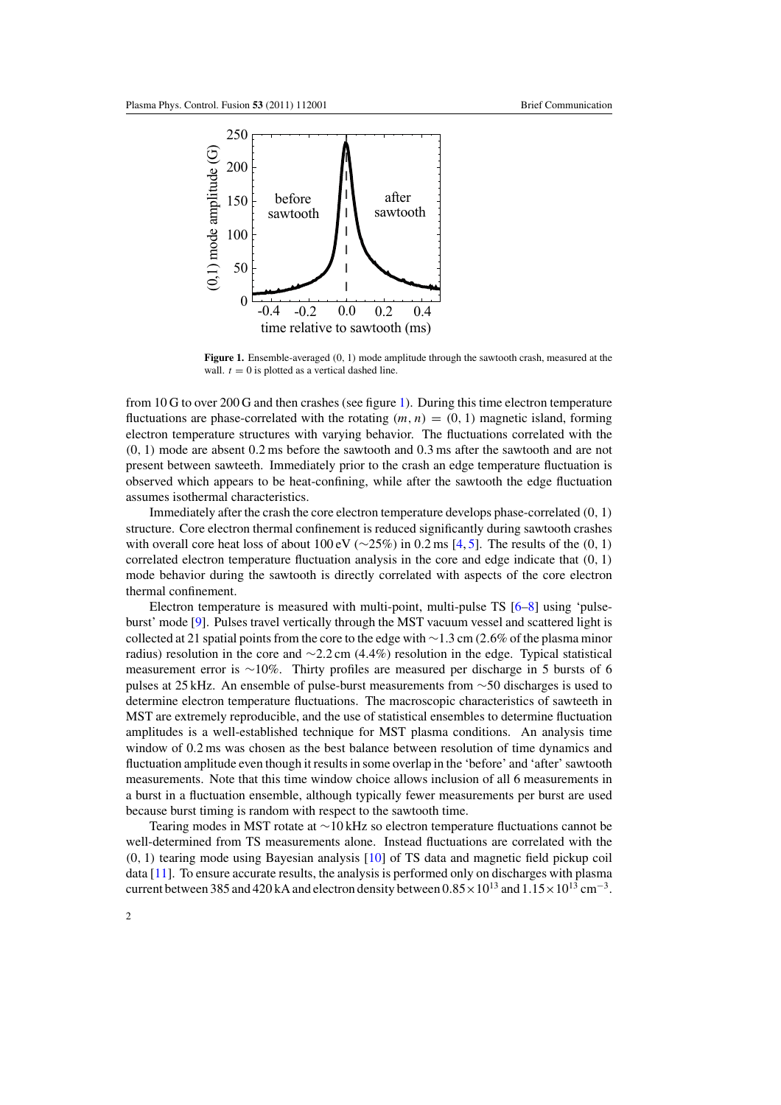

**Figure 1.** Ensemble-averaged *(*0*,* 1*)* mode amplitude through the sawtooth crash, measured at the wall.  $t = 0$  is plotted as a vertical dashed line.

from 10 G to over 200 G and then crashes (see figure 1). During this time electron temperature fluctuations are phase-correlated with the rotating  $(m, n) = (0, 1)$  magnetic island, forming electron temperature structures with varying behavior. The fluctuations correlated with the *(*0*,* 1*)* mode are absent 0*.*2 ms before the sawtooth and 0*.*3 ms after the sawtooth and are not present between sawteeth. Immediately prior to the crash an edge temperature fluctuation is observed which appears to be heat-confining, while after the sawtooth the edge fluctuation assumes isothermal characteristics.

Immediately after the crash the core electron temperature develops phase-correlated *(*0*,* 1*)* structure. Core electron thermal confinement is reduced significantly during sawtooth crashes with overall core heat loss of about 100 eV (∼25%) in 0*.*2 ms [\[4,](#page-5-0) [5\]](#page-5-0). The results of the *(*0*,* 1*)* correlated electron temperature fluctuation analysis in the core and edge indicate that *(*0*,* 1*)* mode behavior during the sawtooth is directly correlated with aspects of the core electron thermal confinement.

Electron temperature is measured with multi-point, multi-pulse TS [\[6–8\]](#page-5-0) using 'pulseburst' mode [\[9\]](#page-5-0). Pulses travel vertically through the MST vacuum vessel and scattered light is collected at 21 spatial points from the core to the edge with ∼1.3 cm (2*.*6% of the plasma minor radius) resolution in the core and ∼2.2 cm (4*.*4%) resolution in the edge. Typical statistical measurement error is ∼10%. Thirty profiles are measured per discharge in 5 bursts of 6 pulses at 25 kHz. An ensemble of pulse-burst measurements from ∼50 discharges is used to determine electron temperature fluctuations. The macroscopic characteristics of sawteeth in MST are extremely reproducible, and the use of statistical ensembles to determine fluctuation amplitudes is a well-established technique for MST plasma conditions. An analysis time window of 0*.*2 ms was chosen as the best balance between resolution of time dynamics and fluctuation amplitude even though it results in some overlap in the 'before' and 'after' sawtooth measurements. Note that this time window choice allows inclusion of all 6 measurements in a burst in a fluctuation ensemble, although typically fewer measurements per burst are used because burst timing is random with respect to the sawtooth time.

Tearing modes in MST rotate at ∼10 kHz so electron temperature fluctuations cannot be well-determined from TS measurements alone. Instead fluctuations are correlated with the *(*0*,* 1*)* tearing mode using Bayesian analysis [\[10\]](#page-5-0) of TS data and magnetic field pickup coil data [\[11\]](#page-5-0). To ensure accurate results, the analysis is performed only on discharges with plasma current between 385 and 420 kA and electron density between  $0.85 \times 10^{13}$  and  $1.15 \times 10^{13}$  cm<sup>-3</sup>.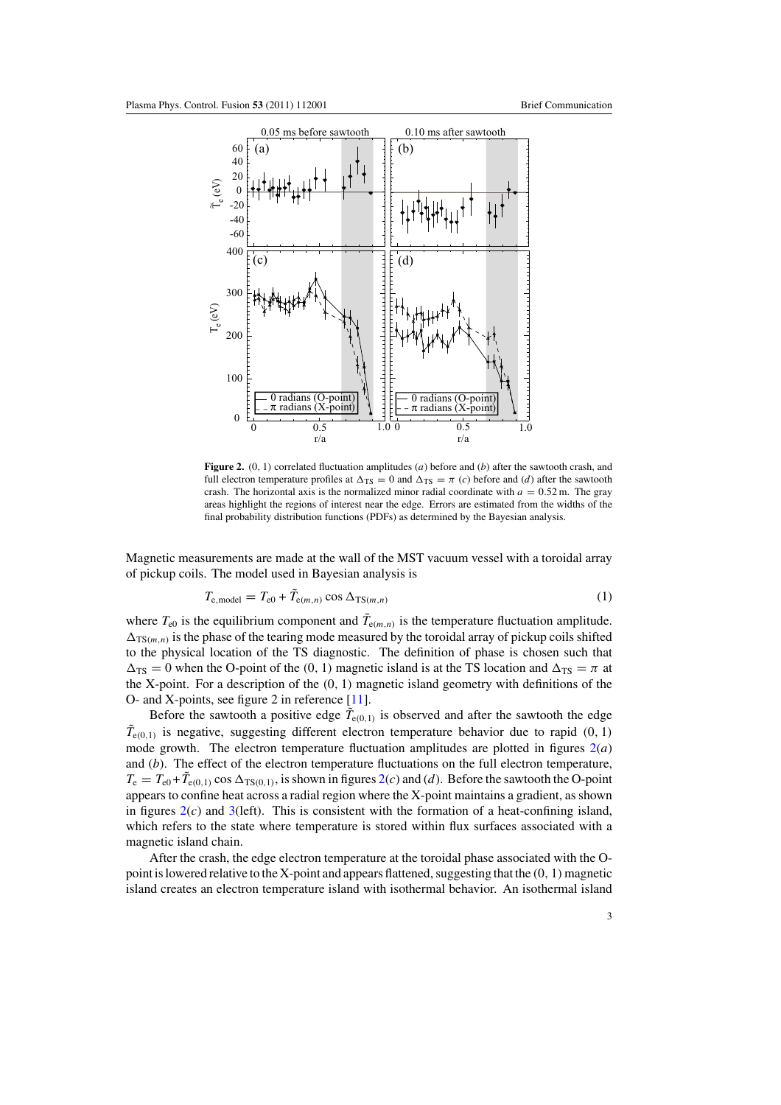<span id="page-2-0"></span>

**Figure 2.** *(*0*,* 1*)* correlated fluctuation amplitudes (*a*) before and (*b*) after the sawtooth crash, and full electron temperature profiles at  $\Delta_{\text{TS}} = 0$  and  $\Delta_{\text{TS}} = \pi$  (*c*) before and (*d*) after the sawtooth crash. The horizontal axis is the normalized minor radial coordinate with  $a = 0.52$  m. The gray areas highlight the regions of interest near the edge. Errors are estimated from the widths of the final probability distribution functions (PDFs) as determined by the Bayesian analysis.

Magnetic measurements are made at the wall of the MST vacuum vessel with a toroidal array of pickup coils. The model used in Bayesian analysis is

$$
T_{\text{e,model}} = T_{\text{e0}} + T_{\text{e}(m,n)} \cos \Delta_{\text{TS}(m,n)} \tag{1}
$$

where  $T_{e0}$  is the equilibrium component and  $T_{e(m,n)}$  is the temperature fluctuation amplitude.  $\Delta_{TS(m,n)}$  is the phase of the tearing mode measured by the toroidal array of pickup coils shifted to the physical location of the TS diagnostic. The definition of phase is chosen such that  $\Delta_{\text{TS}} = 0$  when the O-point of the (0, 1) magnetic island is at the TS location and  $\Delta_{\text{TS}} = \pi$  at the X-point. For a description of the *(*0*,* 1*)* magnetic island geometry with definitions of the O- and X-points, see figure 2 in reference [\[11\]](#page-5-0).

Before the sawtooth a positive edge  $T_{e(0,1)}$  is observed and after the sawtooth the edge  $T_{e(0,1)}$  is negative, suggesting different electron temperature behavior due to rapid  $(0, 1)$ mode growth. The electron temperature fluctuation amplitudes are plotted in figures 2(*a*) and (*b*). The effect of the electron temperature fluctuations on the full electron temperature,  $T_e = T_{e0} + T_{e(0,1)} \cos \Delta_{TS(0,1)}$ , is shown in figures 2(*c*) and (*d*). Before the sawtooth the O-point appears to confine heat across a radial region where the X-point maintains a gradient, as shown in figures  $2(c)$  and  $3$ (left). This is consistent with the formation of a heat-confining island, which refers to the state where temperature is stored within flux surfaces associated with a magnetic island chain.

After the crash, the edge electron temperature at the toroidal phase associated with the Opoint is lowered relative to the X-point and appears flattened, suggesting that the *(*0*,* 1*)*magnetic island creates an electron temperature island with isothermal behavior. An isothermal island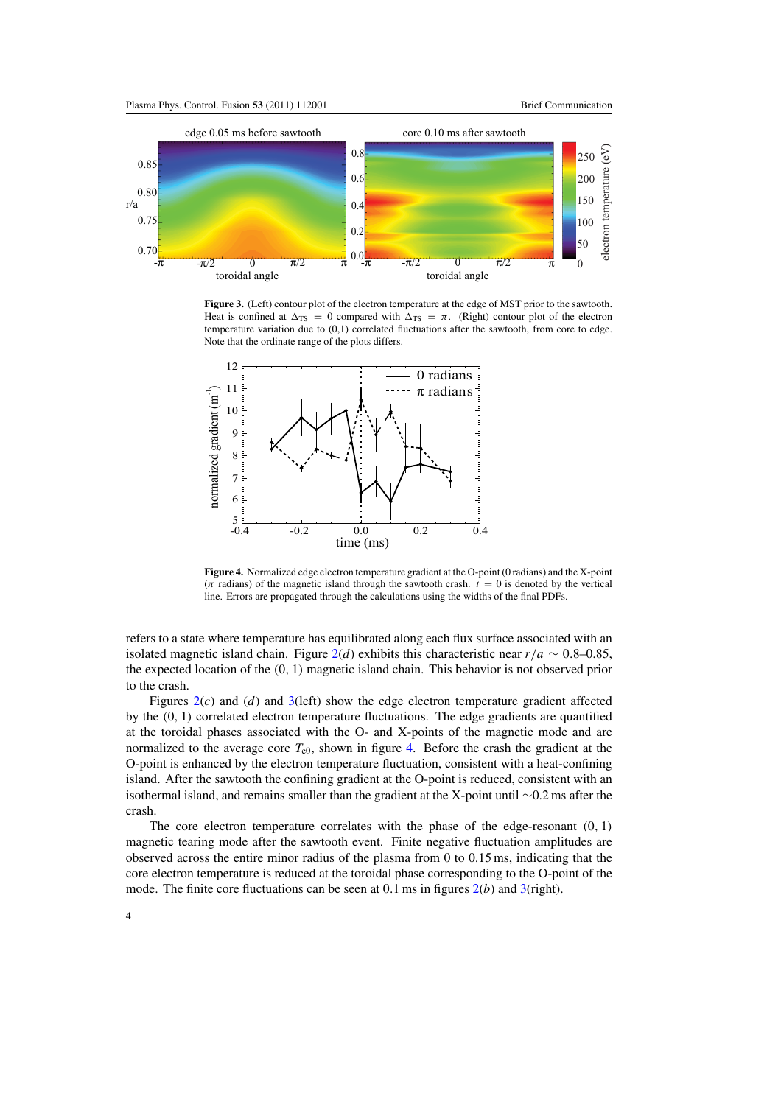<span id="page-3-0"></span>

**Figure 3.** (Left) contour plot of the electron temperature at the edge of MST prior to the sawtooth. Heat is confined at  $\Delta_{TS} = 0$  compared with  $\Delta_{TS} = \pi$ . (Right) contour plot of the electron temperature variation due to (0,1) correlated fluctuations after the sawtooth, from core to edge. Note that the ordinate range of the plots differs.



**Figure 4.** Normalized edge electron temperature gradient at the O-point (0 radians) and the X-point  $($ *π* radians) of the magnetic island through the sawtooth crash.  $t = 0$  is denoted by the vertical line. Errors are propagated through the calculations using the widths of the final PDFs.

refers to a state where temperature has equilibrated along each flux surface associated with an isolated magnetic island chain. Figure [2\(](#page-2-0)*d*) exhibits this characteristic near  $r/a \sim 0.8-0.85$ , the expected location of the *(*0*,* 1*)* magnetic island chain. This behavior is not observed prior to the crash.

Figures  $2(c)$  $2(c)$  and  $(d)$  and  $3$ (left) show the edge electron temperature gradient affected by the *(*0*,* 1*)* correlated electron temperature fluctuations. The edge gradients are quantified at the toroidal phases associated with the O- and X-points of the magnetic mode and are normalized to the average core  $T_{e0}$ , shown in figure 4. Before the crash the gradient at the O-point is enhanced by the electron temperature fluctuation, consistent with a heat-confining island. After the sawtooth the confining gradient at the O-point is reduced, consistent with an isothermal island, and remains smaller than the gradient at the X-point until ∼0.2 ms after the crash.

The core electron temperature correlates with the phase of the edge-resonant  $(0, 1)$ magnetic tearing mode after the sawtooth event. Finite negative fluctuation amplitudes are observed across the entire minor radius of the plasma from 0 to 0.15 ms, indicating that the core electron temperature is reduced at the toroidal phase corresponding to the O-point of the mode. The finite core fluctuations can be seen at 0*.*1 ms in figures [2\(](#page-2-0)*b*) and 3(right).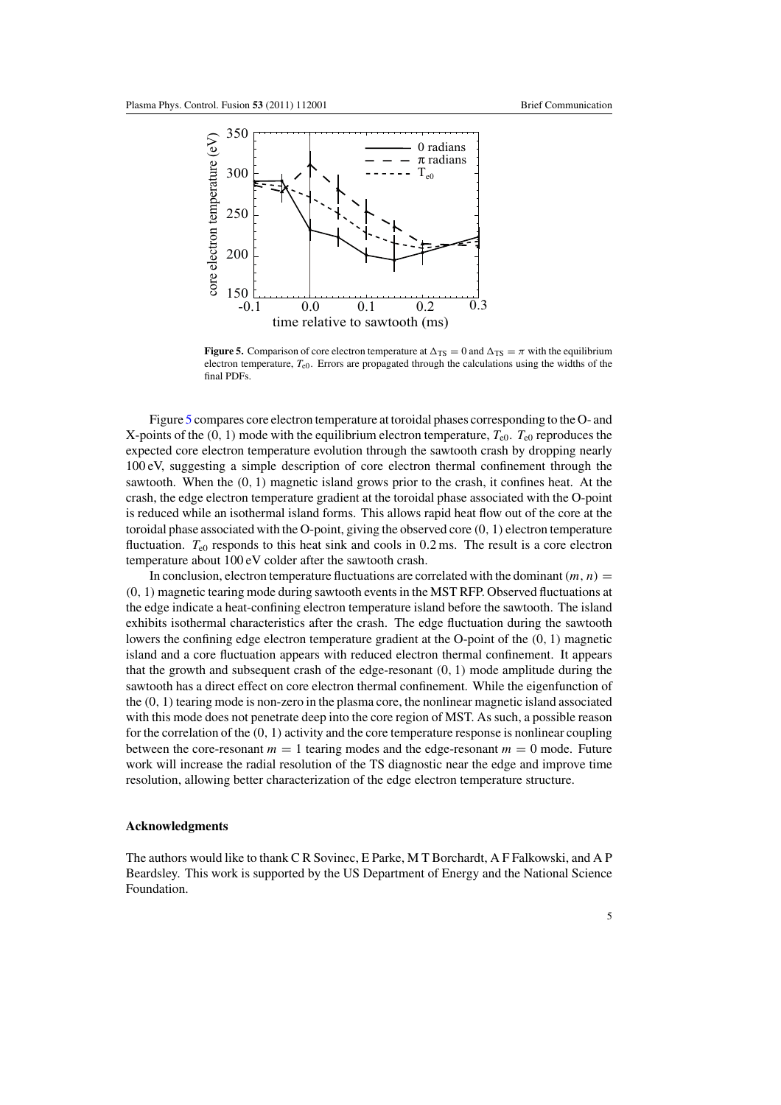

**Figure 5.** Comparison of core electron temperature at  $\Delta_{TS} = 0$  and  $\Delta_{TS} = \pi$  with the equilibrium electron temperature, *T*e0. Errors are propagated through the calculations using the widths of the final PDFs.

Figure 5 compares core electron temperature at toroidal phases corresponding to the O- and X-points of the  $(0, 1)$  mode with the equilibrium electron temperature,  $T_{e0}$ ,  $T_{e0}$  reproduces the expected core electron temperature evolution through the sawtooth crash by dropping nearly 100 eV, suggesting a simple description of core electron thermal confinement through the sawtooth. When the *(*0*,* 1*)* magnetic island grows prior to the crash, it confines heat. At the crash, the edge electron temperature gradient at the toroidal phase associated with the O-point is reduced while an isothermal island forms. This allows rapid heat flow out of the core at the toroidal phase associated with the O-point, giving the observed core *(*0*,* 1*)* electron temperature fluctuation.  $T_{e0}$  responds to this heat sink and cools in 0.2 ms. The result is a core electron temperature about 100 eV colder after the sawtooth crash.

In conclusion, electron temperature fluctuations are correlated with the dominant  $(m, n)$  = *(*0*,* 1*)* magnetic tearing mode during sawtooth events in the MST RFP. Observed fluctuations at the edge indicate a heat-confining electron temperature island before the sawtooth. The island exhibits isothermal characteristics after the crash. The edge fluctuation during the sawtooth lowers the confining edge electron temperature gradient at the O-point of the *(*0*,* 1*)* magnetic island and a core fluctuation appears with reduced electron thermal confinement. It appears that the growth and subsequent crash of the edge-resonant *(*0*,* 1*)* mode amplitude during the sawtooth has a direct effect on core electron thermal confinement. While the eigenfunction of the *(*0*,* 1*)*tearing mode is non-zero in the plasma core, the nonlinear magnetic island associated with this mode does not penetrate deep into the core region of MST. As such, a possible reason for the correlation of the *(*0*,* 1*)* activity and the core temperature response is nonlinear coupling between the core-resonant  $m = 1$  tearing modes and the edge-resonant  $m = 0$  mode. Future work will increase the radial resolution of the TS diagnostic near the edge and improve time resolution, allowing better characterization of the edge electron temperature structure.

#### **Acknowledgments**

The authors would like to thank C R Sovinec, E Parke, M T Borchardt, A F Falkowski, and A P Beardsley. This work is supported by the US Department of Energy and the National Science Foundation.